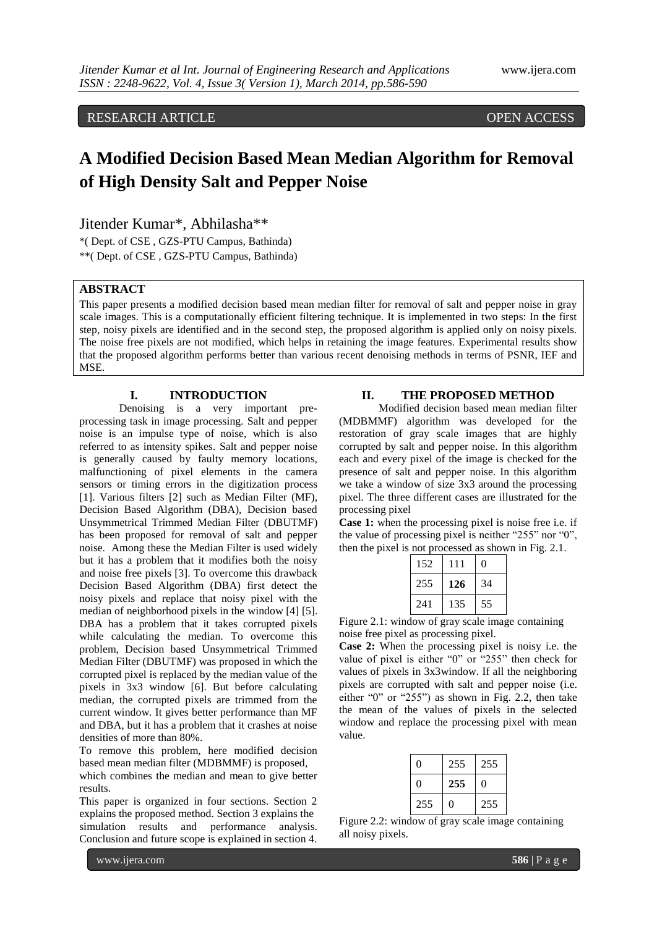RESEARCH ARTICLE OPEN ACCESS

# **A Modified Decision Based Mean Median Algorithm for Removal of High Density Salt and Pepper Noise**

Jitender Kumar\*, Abhilasha\*\*

\*( Dept. of CSE , GZS-PTU Campus, Bathinda) \*\*( Dept. of CSE , GZS-PTU Campus, Bathinda)

# **ABSTRACT**

This paper presents a modified decision based mean median filter for removal of salt and pepper noise in gray scale images. This is a computationally efficient filtering technique. It is implemented in two steps: In the first step, noisy pixels are identified and in the second step, the proposed algorithm is applied only on noisy pixels. The noise free pixels are not modified, which helps in retaining the image features. Experimental results show that the proposed algorithm performs better than various recent denoising methods in terms of PSNR, IEF and MSE.

#### **I. INTRODUCTION**

Denoising is a very important preprocessing task in image processing. Salt and pepper noise is an impulse type of noise, which is also referred to as intensity spikes. Salt and pepper noise is generally caused by faulty memory locations, malfunctioning of pixel elements in the camera sensors or timing errors in the digitization process [1]. Various filters [2] such as Median Filter (MF), Decision Based Algorithm (DBA), Decision based Unsymmetrical Trimmed Median Filter (DBUTMF) has been proposed for removal of salt and pepper noise. Among these the Median Filter is used widely but it has a problem that it modifies both the noisy and noise free pixels [3]. To overcome this drawback Decision Based Algorithm (DBA) first detect the noisy pixels and replace that noisy pixel with the median of neighborhood pixels in the window [4] [5]. DBA has a problem that it takes corrupted pixels while calculating the median. To overcome this problem, Decision based Unsymmetrical Trimmed Median Filter (DBUTMF) was proposed in which the corrupted pixel is replaced by the median value of the pixels in 3x3 window [6]. But before calculating median, the corrupted pixels are trimmed from the current window. It gives better performance than MF and DBA, but it has a problem that it crashes at noise densities of more than 80%.

To remove this problem, here modified decision based mean median filter (MDBMMF) is proposed,

which combines the median and mean to give better results.

This paper is organized in four sections. Section 2 explains the proposed method. Section 3 explains the simulation results and performance analysis. Conclusion and future scope is explained in section 4.

#### **II. THE PROPOSED METHOD**

Modified decision based mean median filter (MDBMMF) algorithm was developed for the restoration of gray scale images that are highly corrupted by salt and pepper noise. In this algorithm each and every pixel of the image is checked for the presence of salt and pepper noise. In this algorithm we take a window of size 3x3 around the processing pixel. The three different cases are illustrated for the processing pixel

**Case 1:** when the processing pixel is noise free i.e. if the value of processing pixel is neither "255" nor "0", then the pixel is not processed as shown in Fig. 2.1.

| 152 | 111 | 0  |
|-----|-----|----|
| 255 | 126 | 34 |
| 241 | 135 | 55 |

Figure 2.1: window of gray scale image containing noise free pixel as processing pixel.

**Case 2:** When the processing pixel is noisy i.e. the value of pixel is either "0" or "255" then check for values of pixels in 3x3window. If all the neighboring pixels are corrupted with salt and pepper noise (i.e. either "0" or "255") as shown in Fig. 2.2, then take the mean of the values of pixels in the selected window and replace the processing pixel with mean value.

| 0   | 255 | 255 |
|-----|-----|-----|
| 0   | 255 | 0   |
| 255 | 0   | 255 |

Figure 2.2: window of gray scale image containing all noisy pixels.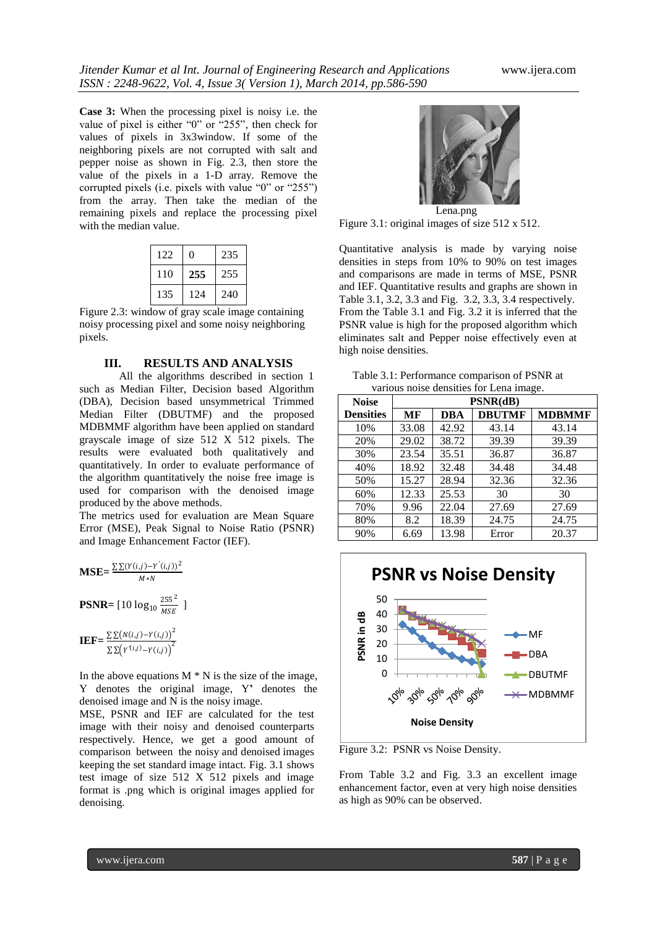**Case 3:** When the processing pixel is noisy i.e. the value of pixel is either "0" or "255", then check for values of pixels in 3x3window. If some of the neighboring pixels are not corrupted with salt and pepper noise as shown in Fig. 2.3, then store the value of the pixels in a 1-D array. Remove the corrupted pixels (i.e. pixels with value "0" or "255") from the array. Then take the median of the remaining pixels and replace the processing pixel with the median value.

| 122 | 0   | 235 |
|-----|-----|-----|
| 110 | 255 | 255 |
| 135 | 124 | 240 |

Figure 2.3: window of gray scale image containing noisy processing pixel and some noisy neighboring pixels.

#### **III. RESULTS AND ANALYSIS**

All the algorithms described in section 1 such as Median Filter, Decision based Algorithm (DBA), Decision based unsymmetrical Trimmed Median Filter (DBUTMF) and the proposed MDBMMF algorithm have been applied on standard grayscale image of size 512 X 512 pixels. The results were evaluated both qualitatively and quantitatively. In order to evaluate performance of the algorithm quantitatively the noise free image is used for comparison with the denoised image produced by the above methods.

The metrics used for evaluation are Mean Square Error (MSE), Peak Signal to Noise Ratio (PSNR) and Image Enhancement Factor (IEF).

$$
\text{MSE} = \frac{\Sigma \Sigma (Y(i,j) - Y'(i,j))^2}{M*N}
$$
  
\n
$$
\text{PSNR} = [10 \log_{10} \frac{255^2}{MSE}]
$$
  
\n
$$
\text{IEF} = \frac{\Sigma \Sigma (N(i,j) - Y(i,j))^2}{\Sigma \Sigma (Y'(i,j) - Y(i,j))^2}
$$

In the above equations  $M * N$  is the size of the image, Y denotes the original image, Y**'** denotes the denoised image and N is the noisy image.

MSE, PSNR and IEF are calculated for the test image with their noisy and denoised counterparts respectively. Hence, we get a good amount of comparison between the noisy and denoised images keeping the set standard image intact. Fig. 3.1 shows test image of size 512 X 512 pixels and image format is .png which is original images applied for denoising.



Figure 3.1: original images of size 512 x 512.

Quantitative analysis is made by varying noise densities in steps from 10% to 90% on test images and comparisons are made in terms of MSE, PSNR and IEF. Quantitative results and graphs are shown in Table 3.1, 3.2, 3.3 and Fig. 3.2, 3.3, 3.4 respectively. From the Table 3.1 and Fig. 3.2 it is inferred that the PSNR value is high for the proposed algorithm which eliminates salt and Pepper noise effectively even at high noise densities.

| Table 3.1: Performance comparison of PSNR at |
|----------------------------------------------|
| various noise densities for Lena image.      |

| <b>Noise</b>     | ັ<br>PSNR(dB) |            |               |               |
|------------------|---------------|------------|---------------|---------------|
| <b>Densities</b> | MF            | <b>DBA</b> | <b>DBUTMF</b> | <b>MDBMMF</b> |
| 10%              | 33.08         | 42.92      | 43.14         | 43.14         |
| 20%              | 29.02         | 38.72      | 39.39         | 39.39         |
| 30%              | 23.54         | 35.51      | 36.87         | 36.87         |
| 40%              | 18.92         | 32.48      | 34.48         | 34.48         |
| 50%              | 15.27         | 28.94      | 32.36         | 32.36         |
| 60%              | 12.33         | 25.53      | 30            | 30            |
| 70%              | 9.96          | 22.04      | 27.69         | 27.69         |
| 80%              | 8.2           | 18.39      | 24.75         | 24.75         |
| 90%              | 6.69          | 13.98      | Error         | 20.37         |



Figure 3.2: PSNR vs Noise Density.

From Table 3.2 and Fig. 3.3 an excellent image enhancement factor, even at very high noise densities as high as 90% can be observed.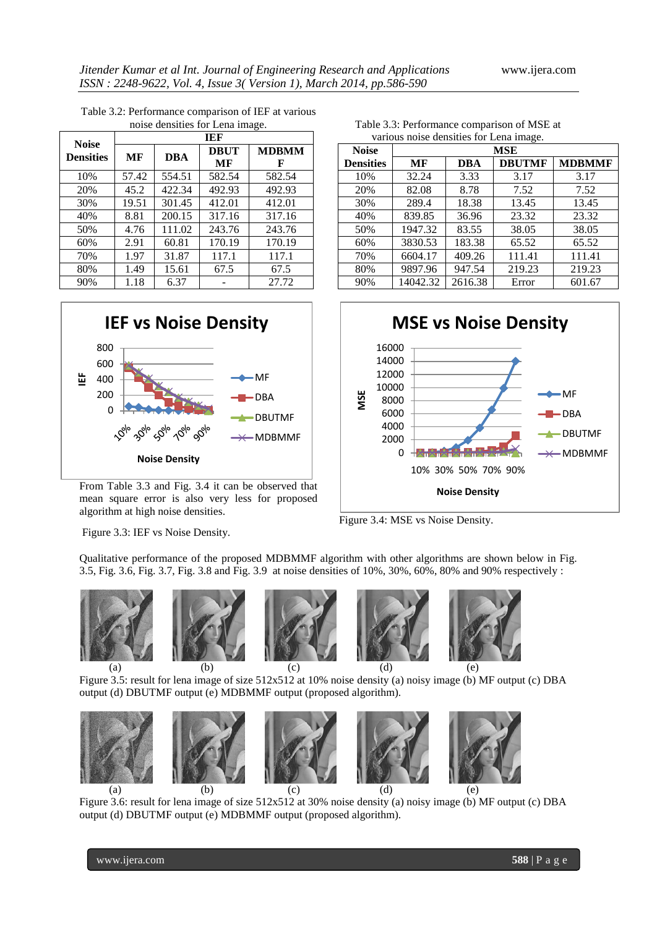| <b>Noise</b>     | TEF   |            |                   |                   |
|------------------|-------|------------|-------------------|-------------------|
| <b>Densities</b> | МF    | <b>DBA</b> | <b>DBUT</b><br>МF | <b>MDRMM</b><br>F |
| 10%              | 57.42 | 554.51     | 582.54            | 582.54            |
| 20%              | 45.2  | 422.34     | 492.93            | 492.93            |
| 30%              | 19.51 | 301.45     | 412.01            | 412.01            |
| 40%              | 8.81  | 200.15     | 317.16            | 317.16            |
| 50%              | 4.76  | 111.02     | 243.76            | 243.76            |
| 60%              | 2.91  | 60.81      | 170.19            | 170.19            |
| 70%              | 1.97  | 31.87      | 117.1             | 117.1             |
| 80%              | 1.49  | 15.61      | 67.5              | 67.5              |
| 90%              | 1.18  | 6.37       |                   | 27.72             |

Table 3.2: Performance comparison of IEF at various noise densities for Lena image.



From Table 3.3 and Fig. 3.4 it can be observed that mean square error is also very less for proposed algorithm at high noise densities.

Table 3.3: Performance comparison of MSE at various noise densities for Lena image.

| <b>Noise</b>     | MSE      |            |               |               |
|------------------|----------|------------|---------------|---------------|
| <b>Densities</b> | МF       | <b>DBA</b> | <b>DBUTMF</b> | <b>MDBMMF</b> |
| 10%              | 32.24    | 3.33       | 3.17          | 3.17          |
| 20%              | 82.08    | 8.78       | 7.52          | 7.52          |
| 30%              | 289.4    | 18.38      | 13.45         | 13.45         |
| 40%              | 839.85   | 36.96      | 23.32         | 23.32         |
| 50%              | 1947.32  | 83.55      | 38.05         | 38.05         |
| 60%              | 3830.53  | 183.38     | 65.52         | 65.52         |
| 70%              | 6604.17  | 409.26     | 111.41        | 111.41        |
| 80%              | 9897.96  | 947.54     | 219.23        | 219.23        |
| 90%              | 14042.32 | 2616.38    | Error         | 601.67        |



Figure 3.4: MSE vs Noise Density.

Figure 3.3: IEF vs Noise Density.

Qualitative performance of the proposed MDBMMF algorithm with other algorithms are shown below in Fig. 3.5, Fig. 3.6, Fig. 3.7, Fig. 3.8 and Fig. 3.9 at noise densities of 10%, 30%, 60%, 80% and 90% respectively :



Figure 3.5: result for lena image of size 512x512 at 10% noise density (a) noisy image (b) MF output (c) DBA output (d) DBUTMF output (e) MDBMMF output (proposed algorithm).



Figure 3.6: result for lena image of size 512x512 at 30% noise density (a) noisy image (b) MF output (c) DBA output (d) DBUTMF output (e) MDBMMF output (proposed algorithm).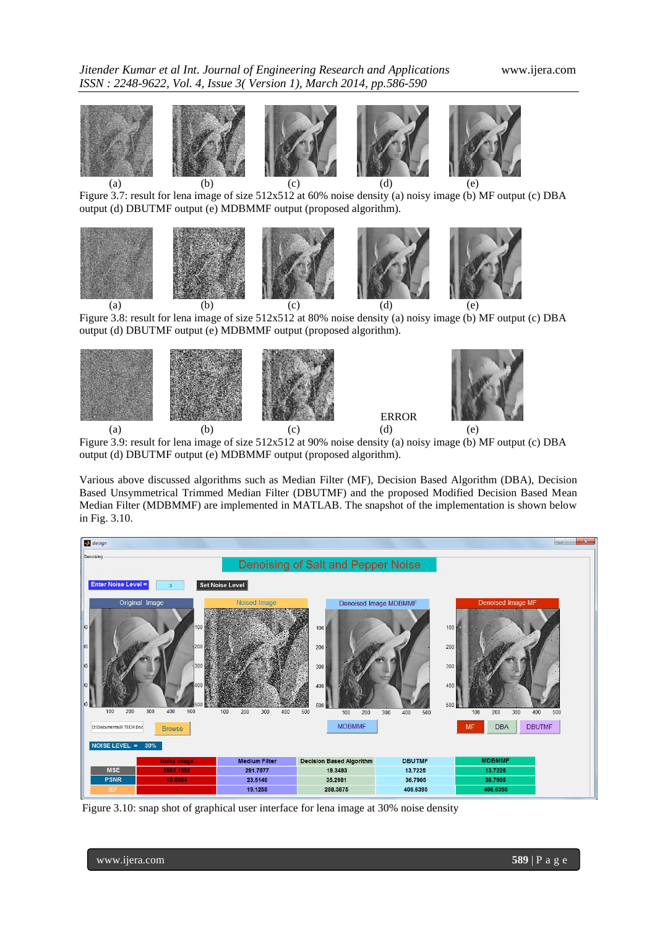





Figure 3.8: result for lena image of size 512x512 at 80% noise density (a) noisy image (b) MF output (c) DBA output (d) DBUTMF output (e) MDBMMF output (proposed algorithm).



Figure 3.9: result for lena image of size 512x512 at 90% noise density (a) noisy image (b) MF output (c) DBA output (d) DBUTMF output (e) MDBMMF output (proposed algorithm).

Various above discussed algorithms such as Median Filter (MF), Decision Based Algorithm (DBA), Decision Based Unsymmetrical Trimmed Median Filter (DBUTMF) and the proposed Modified Decision Based Mean Median Filter (MDBMMF) are implemented in MATLAB. The snapshot of the implementation is shown below in Fig. 3.10.



Figure 3.10: snap shot of graphical user interface for lena image at 30% noise density